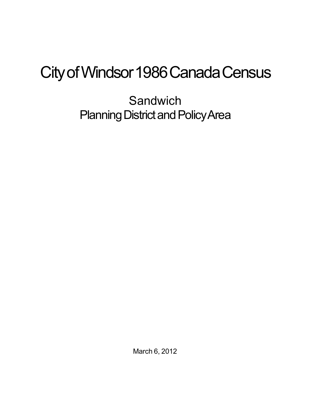## City of Windsor 1986 Canada Census

**Sandwich** Planning District and Policy Area

March 6, 2012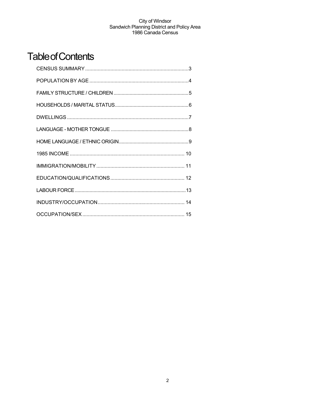## **Table of Contents**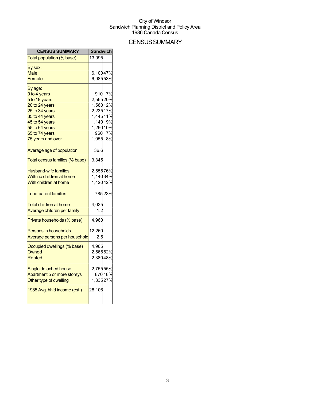## **CENSUS SUMMARY**

| <b>CENSUS SUMMARY</b>          | <b>Sandwich</b>       |         |
|--------------------------------|-----------------------|---------|
| Total population (% base)      | 13,095                |         |
| By sex:                        |                       |         |
| <b>Male</b>                    | 6,10047%              |         |
| Female                         | 6,98553%              |         |
| By age:                        |                       |         |
| 0 to 4 years                   | 910                   | 7%      |
| 5 to 19 years                  | 2,56520%              |         |
| 20 to 24 years                 | 1,56012%              |         |
| 25 to 34 years                 | 2,23517%              |         |
| 35 to 44 years                 | 1,44511%              |         |
| 45 to 54 years                 | 1,140 9%<br>1,290 10% |         |
| 55 to 64 years                 |                       |         |
| 65 to 74 years                 |                       | 960 7%  |
| 75 years and over              | 1,055 8%              |         |
| Average age of population      | 36.6                  |         |
| Total census families (% base) | 3,345                 |         |
| <b>Husband-wife families</b>   | 2,55576%              |         |
| With no children at home       | 1,14034%              |         |
| With children at home          | 1,42042%              |         |
| Lone-parent families           |                       | 78523%  |
| <b>Total children at home</b>  | 4,035                 |         |
| Average children per family    | 1.2                   |         |
| Private households (% base)    | 4,960                 |         |
| <b>Persons in households</b>   | 12,260                |         |
| Average persons per household  | $2.5\,$               |         |
| Occupied dwellings (% base)    | 4,965                 |         |
| Owned                          | 2,56552%              |         |
| Rented                         | 2,38048%              |         |
| Single detached house          | 2,75555%              |         |
| Apartment 5 or more storeys    |                       | 870 18% |
| Other type of dwelling         | 1,33527%              |         |
| 1985 Avg. hhld income (est.)   | 28,106                |         |
|                                |                       |         |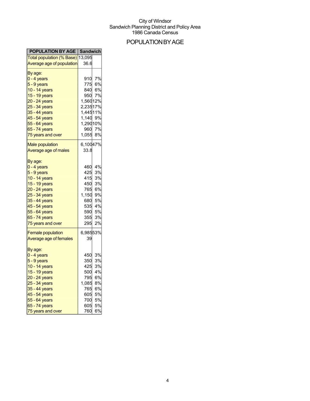## POPULATIONBYAGE

| <b>POPULATION BY AGE   Sandwich</b>                                                                                                                                                                             |                                                                                                                                               |
|-----------------------------------------------------------------------------------------------------------------------------------------------------------------------------------------------------------------|-----------------------------------------------------------------------------------------------------------------------------------------------|
| Total population (% Base) 13,095                                                                                                                                                                                |                                                                                                                                               |
| Average age of population                                                                                                                                                                                       | 36.6                                                                                                                                          |
| By age:<br>0 - 4 years<br>5 - 9 years<br>10 - 14 years<br>15 - 19 years<br>20 - 24 years<br>25 - 34 years<br>35 - 44 years<br>45 - 54 years<br>55 - 64 years<br>65 - 74 years                                   | 7%<br>910<br>775<br>6%<br>840<br>6%<br>7%<br>950<br>1,56012%<br>2,23517%<br>1,44511%<br>1,140 9%<br>1,29010%<br>7%<br>960                     |
| 75 years and over                                                                                                                                                                                               | 1,055<br>8%                                                                                                                                   |
| <b>Male population</b><br>Average age of males                                                                                                                                                                  | 6,10047%<br>33.8                                                                                                                              |
| By age:<br><mark>0 - 4 years</mark><br>5 - 9 years<br>10 - 14 years<br>15 - 19 years<br>20 - 24 years<br>25 - 34 years<br>35 - 44 years<br>45 - 54 years<br>55 - 64 years<br>65 - 74 years<br>75 years and over | 4%<br>460<br>425<br>3%<br>415<br>3%<br>3%<br>450<br>765<br>6%<br>1,150<br>9%<br>5%<br>680<br>535<br>4%<br>590<br>5%<br>3%<br>355<br>2%<br>295 |
| <b>Female population</b><br>Average age of females                                                                                                                                                              | 6,98553%<br>39                                                                                                                                |
| By age:<br>0 - 4 years<br>5 - 9 years<br>10 - 14 years<br>15 - 19 years<br>20 - 24 years<br>25 - 34 years<br>35 - 44 years<br>45 - 54 years<br>55 - 64 years<br>65 - 74 years<br>75 years and over              | 3%<br>450<br>350<br>3%<br>425<br>3%<br>4%<br>500<br>795<br>6%<br>1,085<br>8%<br>765<br>6%<br>605<br>5%<br>700<br>5%<br>605<br>5%<br>6%<br>760 |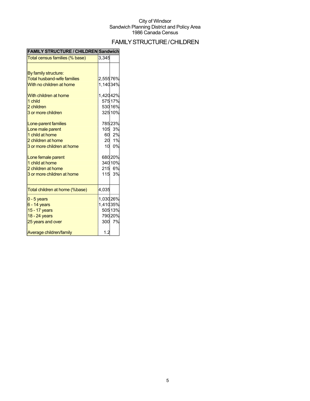## FAMILYSTRUCTURE/CHILDREN

| <b>FAMILY STRUCTURE / CHILDREN Sandwich</b> |                 |         |
|---------------------------------------------|-----------------|---------|
| Total census families (% base)              | 3,345           |         |
|                                             |                 |         |
| By family structure:                        |                 |         |
| <b>Total husband-wife families</b>          | 2,55576%        |         |
| With no children at home                    | 1,14034%        |         |
| With children at home                       | 1,42042%        |         |
| 1 child                                     |                 | 575 17% |
| 2 children                                  |                 | 530 16% |
| 3 or more children                          |                 | 325 10% |
| Lone-parent families                        |                 | 78523%  |
| Lone male parent                            |                 | 105 3%  |
| 1 child at home                             |                 | 60 2%   |
| 2 children at home                          |                 | 20 1%   |
| 3 or more children at home                  | 10 <sup>°</sup> | 0%      |
| Lone female parent                          |                 | 680 20% |
| 1 child at home                             |                 | 340 10% |
| 2 children at home                          |                 | 215 6%  |
| 3 or more children at home                  |                 | 115 3%  |
| Total children at home (%base)              | 4,035           |         |
| $0 - 5$ years                               | 1,03026%        |         |
| $6 - 14$ years                              | 1,41035%        |         |
| 15 - 17 years                               |                 | 505 13% |
| 18 - 24 years                               |                 | 790 20% |
| 25 years and over                           |                 | 300 7%  |
| Average children/family                     | 1.2             |         |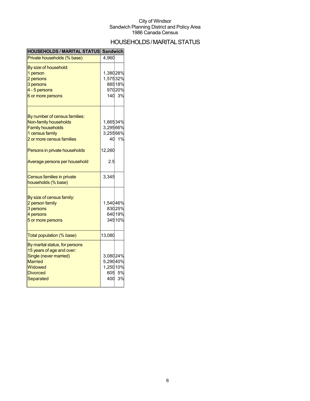## HOUSEHOLDS/MARITAL STATUS

| <b>HOUSEHOLDS / MARITAL STATUS Sandwich</b>                 |          |        |
|-------------------------------------------------------------|----------|--------|
| Private households (% base)                                 | 4,960    |        |
| By size of household:                                       |          |        |
| 1 person                                                    | 1,38028% |        |
| 2 persons                                                   | 1,57532% |        |
| 3 persons                                                   |          | 88518% |
| 4 - 5 persons                                               |          | 97020% |
| 6 or more persons                                           |          | 140 3% |
| By number of census families:                               |          |        |
| Non-family households                                       | 1,66534% |        |
| <b>Family households</b>                                    | 3,29566% |        |
| 1 census family                                             | 3,25566% |        |
| 2 or more census families                                   |          | 40 1%  |
|                                                             |          |        |
| Persons in private households                               | 12,260   |        |
| Average persons per household                               | 2.5      |        |
| Census families in private                                  | 3,345    |        |
| households (% base)                                         |          |        |
| By size of census family:                                   |          |        |
| 2 person family                                             | 1,54046% |        |
| 3 persons                                                   |          | 83025% |
| 4 persons                                                   |          | 64019% |
| 5 or more persons                                           |          | 34510% |
| Total population (% base)                                   | 13,080   |        |
|                                                             |          |        |
| By marital status, for persons<br>15 years of age and over: |          |        |
| Single (never married)                                      | 3,08024% |        |
|                                                             |          |        |
| <b>Married</b>                                              | 5,29040% |        |
| Widowed                                                     | 1,25010% |        |
| <b>Divorced</b>                                             |          | 605 5% |
| Separated                                                   |          | 400 3% |
|                                                             |          |        |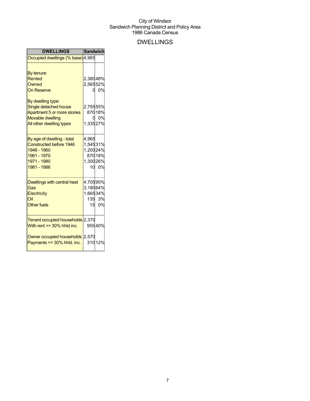## DWELLINGS

| <b>DWELLINGS</b>                   | <b>Sandwich</b> |         |
|------------------------------------|-----------------|---------|
| Occupied dwellings (% base) 4,965  |                 |         |
|                                    |                 |         |
| By tenure:                         |                 |         |
| Rented                             | 2,38048%        |         |
| Owned                              | 2,56552%        |         |
| <b>On Reserve</b>                  | d               | 0%      |
| By dwelling type:                  |                 |         |
| Single detached house              | 2,75555%        |         |
| Apartment 5 or more stories        |                 | 870 18% |
| <b>Movable dwelling</b>            | 0               | 0%      |
| All other dwelling types           | 1,33527%        |         |
| By age of dwelling - total         | 4,965           |         |
| Constructed before 1946            | 1,54531%        |         |
| 1946 - 1960                        | 1,20024%        |         |
| 1961 - 1970                        |                 | 870 18% |
| 1971 - 1980                        | 1,30026%        |         |
| 1981 - 1986                        |                 | 10 0%   |
| <b>Dwellings with central heat</b> | 4,70595%        |         |
| Gas                                | 3,18064%        |         |
| Electricity                        | 1,66534%        |         |
| Oil                                |                 | 135 3%  |
| <b>Other fuels</b>                 | 15              | 0%      |
| Tenant occupied households 2,370   |                 |         |
| With rent $>=$ 30% hhld inc.       |                 | 95540%  |
| Owner occupied households 2,570    |                 |         |
| Payments >= 30% hhld. inc.         |                 | 310 12% |
|                                    |                 |         |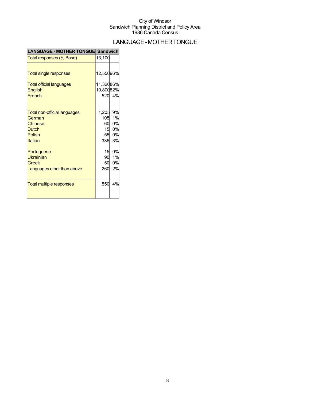## LANGUAGE-MOTHERTONGUE

| LANGUAGE - MOTHER TONGUE Sandwich |           |        |
|-----------------------------------|-----------|--------|
| Total responses (% Base)          | 13,100    |        |
|                                   |           |        |
| <b>Total single responses</b>     | 12,55096% |        |
| <b>Total official languages</b>   | 11,32086% |        |
| <b>English</b>                    | 10,80082% |        |
| French                            |           | 520 4% |
|                                   |           |        |
| Total non-official languages      | 1,205     | 9%     |
| German                            | 105       | 1%     |
| Chinese                           | 60        | 0%     |
| <b>Dutch</b>                      |           | 15 0%  |
| <b>Polish</b>                     | 55        | 0%     |
| Italian                           | 335       | 3%     |
| Portuguese                        | 15        | 0%     |
| <b>Ukrainian</b>                  | 90        | 1%     |
| <b>Greek</b>                      | 50        | 0%     |
| Languages other than above        | 260       | 2%     |
|                                   |           |        |
| <b>Total multiple responses</b>   | 550       | 4%     |
|                                   |           |        |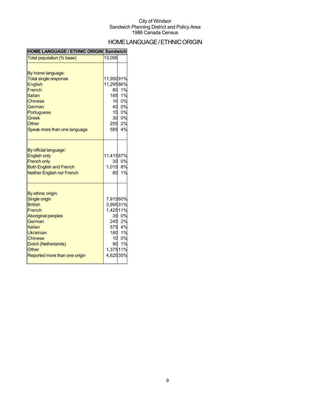## HOMELANGUAGE/ETHNICORIGIN

| <b>HOME LANGUAGE / ETHNIC ORIGIN  Sandwich</b>                                                                                                                                                                          |                                                                                          |                                                     |
|-------------------------------------------------------------------------------------------------------------------------------------------------------------------------------------------------------------------------|------------------------------------------------------------------------------------------|-----------------------------------------------------|
| Total population (% base)                                                                                                                                                                                               | 13,095                                                                                   |                                                     |
| By home language:<br><b>Total single response</b><br><b>English</b><br>French<br>Italian<br><b>Chinese</b><br>German<br>Portuguese<br><b>Greek</b><br>Other<br>Speak more than one language                             | 11,95091%<br>11,29586%<br>80<br>185<br>$\frac{6}{10}$<br>40<br>15<br>255                 | 1%<br>1%<br>0%<br>0%<br>0%<br>30 0%<br>2%<br>585 4% |
| By official language:<br><b>English only</b><br><b>French only</b><br><b>Both English and French</b><br><b>Neither English nor French</b>                                                                               | 11,41587%<br>30<br>1,015<br>80                                                           | 0%<br>8%<br>1%                                      |
| By ethnic origin:<br><b>Single origin</b><br><b>British</b><br>French<br><b>Aboriginal peoples</b><br>German<br>Italian<br>Ukrainian<br><b>Chinese</b><br>Dutch (Netherlands)<br>Other<br>Reported more than one origin | 7,91560%<br>3,99531%<br>1,42511%<br>245<br>10 <sup>1</sup><br>90<br>1,37511%<br>4,62535% | 35 0%<br>2%<br>575 4%<br>180 1%<br>0%<br>1%         |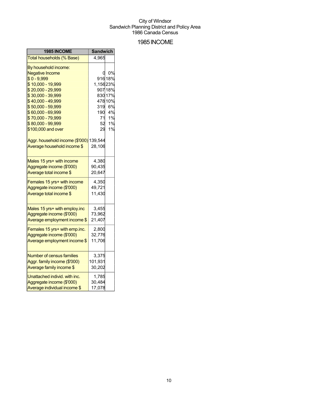### 1985INCOME

| 1985 INCOME                             | <b>Sandwich</b> |         |
|-----------------------------------------|-----------------|---------|
| Total households (% Base)               | 4,965           |         |
| By household income:                    |                 |         |
| <b>Negative Income</b>                  | 0               | 0%      |
| $$0 - 9,999$                            |                 | 91618%  |
| \$10,000 - 19,999                       | 1,15623%        |         |
| \$20,000 - 29,999                       |                 | 907 18% |
| \$30,000 - 39,999                       |                 | 830 17% |
| \$40,000 - 49,999                       |                 | 478 10% |
| \$50,000 - 59,999                       | 319             | 6%      |
| \$60,000 - 69,999                       | 190             | 4%      |
| \$70,000 - 79,999                       | 71              | 1%      |
| \$80,000 - 99,999                       | 52              | 1%      |
| \$100,000 and over                      | 29              | 1%      |
| Aggr. household income (\$'000) 139,544 |                 |         |
| Average household income \$             | 28,106          |         |
| Males 15 yrs+ with income               | 4,380           |         |
| Aggregate income (\$'000)               | 90,435          |         |
| Average total income \$                 | 20,647          |         |
| Females 15 yrs+ with income             | 4,350           |         |
| Aggregate income (\$'000)               | 49,721          |         |
| Average total income \$                 | 11,430          |         |
| Males 15 yrs+ with employ.inc           | 3,455           |         |
| Aggregate income (\$'000)               | 73,962          |         |
| Average employment income \$            | 21,407          |         |
|                                         |                 |         |
| Females 15 yrs+ with emp.inc.           | 2,800           |         |
| Aggregate income (\$'000)               | 32,776          |         |
| Average employment income \$            | 11,706          |         |
| <b>Number of census families</b>        | 3,375           |         |
| Aggr. family income (\$'000)            | 101,931         |         |
| Average family income \$                | 30,202          |         |
| Unattached individ. with inc.           | 1,785           |         |
| Aggregate income (\$'000)               | 30,484          |         |
| Average individual income \$            | 17,078          |         |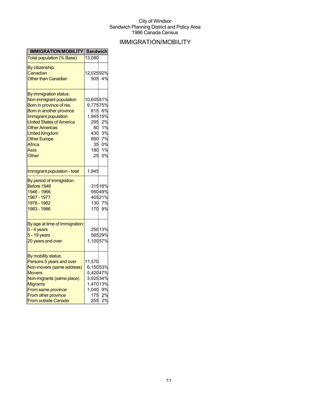## IMMIGRATION/MOBILITY

| IMMIGRATION/MOBILITY Sandwich    |           |        |
|----------------------------------|-----------|--------|
| <b>Total population (% Base)</b> | 13,080    |        |
| By citizenship:                  |           |        |
| Canadian                         | 12,02592% |        |
| <b>Other than Canadian</b>       | 505       | 4%     |
|                                  |           |        |
| By immigration status:           |           |        |
| Non-immigrant population         | 10,60581% |        |
| Born in province of res.         | 9,77575%  |        |
| Born in another province         | 815       | 6%     |
| Immigrant population             | 1,94515%  |        |
| <b>United States of America</b>  | 295       | 2%     |
| <b>Other Americas</b>            | 80        | 1%     |
| <b>United Kingdom</b>            | 430       | 3%     |
| <b>Other Europe</b>              | 890       | 7%     |
| Africa                           | 35        | 0%     |
| Asia                             | 180       | 1%     |
| Other                            | 25        | 0%     |
|                                  |           |        |
| Immigrant population - total     | 1,945     |        |
| By period of immigration:        |           |        |
| Before 1946                      |           | 31516% |
| 1946 - 1966                      |           | 95049% |
| 1967 - 1977                      |           | 40521% |
| 1978 - 1982                      | 130       | 7%     |
| 1983 - 1986                      | 170       | 9%     |
|                                  |           |        |
| By age at time of immigration:   |           |        |
| $0 - 4$ years                    |           | 25013% |
| $5 - 19$ years                   |           | 56529% |
| 20 years and over                | 1,10057%  |        |
|                                  |           |        |
| By mobility status:              |           |        |
| Persons 5 years and over         | 11,570    |        |
| Non-movers (same address)        | 6,15053%  |        |
| <b>Movers</b>                    | 5,42047%  |        |
| Non-migrants (same place)        | 3,92534%  |        |
| <b>Migrants</b>                  | 1,47013%  |        |
| From same province               | 1,040     | 9%     |
| From other province              | 175       | 2%     |
| <b>From outside Canada</b>       | 255       | 2%     |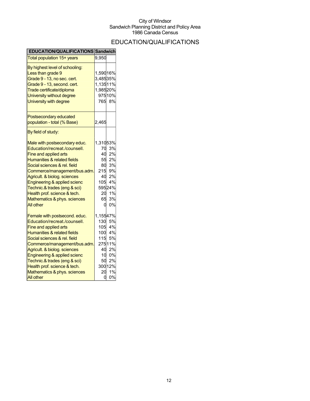## EDUCATION/QUALIFICATIONS

| EDUCATION/QUALIFICATIONS Sandwich |                 |        |
|-----------------------------------|-----------------|--------|
| Total population 15+ years        | 9,950           |        |
| By highest level of schooling:    |                 |        |
| Less than grade 9                 | 1,59016%        |        |
| Grade 9 - 13, no sec. cert.       | 3,48535%        |        |
| Grade 9 - 13, second. cert.       | 1,13511%        |        |
| Trade certificate/diploma         | 1,98520%        |        |
| University without degree         |                 | 97510% |
| University with degree            |                 | 765 8% |
| Postsecondary educated            |                 |        |
| population - total (% Base)       | 2,465           |        |
|                                   |                 |        |
| By field of study:                |                 |        |
| Male with postsecondary educ.     | 1,31053%        |        |
| Education/recreat./counsell.      | 70              | 3%     |
| Fine and applied arts             | 40              | 2%     |
| Humanities & related fields       | 55              | 2%     |
| Social sciences & rel. field      | 80              | 3%     |
| Commerce/management/bus.adm.      | 215             | 9%     |
| Agricult. & biolog. sciences      | 40              | 2%     |
| Engineering & applied scienc      | 105             | 4%     |
| Technic.& trades (eng & sci)      |                 | 59524% |
| Health prof. science & tech.      | 20              | 1%     |
| Mathematics & phys. sciences      | 65              | 3%     |
| <b>All other</b>                  | 0               | 0%     |
| Female with postsecond. educ.     | 1,15547%        |        |
| Education/recreat./counsell.      | 130             | 5%     |
| Fine and applied arts             | 105             | 4%     |
| Humanities & related fields       | 100             | 4%     |
| Social sciences & rel. field      | 115             | 5%     |
| Commerce/management/bus.adm.      |                 | 27511% |
| Agricult. & biolog. sciences      | 40              | 2%     |
| Engineering & applied scienc      | 10 <sup>1</sup> | 0%     |
| Technic.& trades (eng & sci)      | 50              | 2%     |
| Health prof. science & tech.      |                 | 30012% |
| Mathematics & phys. sciences      | 20              | 1%     |
| <b>All other</b>                  | 0               | 0%     |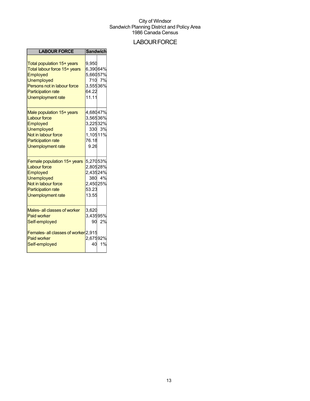### **LABOUR FORCE**

| <b>LABOUR FORCE</b>                                                                                                                                                                 | <b>Sandwich</b>                                                |        |
|-------------------------------------------------------------------------------------------------------------------------------------------------------------------------------------|----------------------------------------------------------------|--------|
| Total population 15+ years<br>Total labour force 15+ years<br>Employed<br><b>Unemployed</b><br>Persons not in labour force<br><b>Participation rate</b><br><b>Unemployment rate</b> | 9.950<br>6,39064%<br>5,66057%<br>3,55536%<br>64.22<br>11.11    | 710 7% |
| Male population 15+ years<br><b>Labour force</b><br>Employed<br><b>Unemployed</b><br>Not in labour force<br><b>Participation rate</b><br><b>Unemployment rate</b>                   | 4,68047%<br>3,56536%<br>3,22532%<br>1,10511%<br>76.18<br>9.26  | 330 3% |
| Female population 15+ years<br><b>Labour force</b><br>Employed<br><b>Unemployed</b><br>Not in labour force<br><b>Participation rate</b><br><b>Unemployment rate</b>                 | 5,27053%<br>2,80528%<br>2,43524%<br>2,45025%<br>53.23<br>13.55 | 380 4% |
| Males- all classes of worker<br><b>Paid worker</b><br>Self-employed                                                                                                                 | 3,620<br>3,43595%<br>90.                                       | 2%     |
| <b>Females-all classes of worker</b> 2,915<br><b>Paid worker</b><br>Self-employed                                                                                                   | 2,67592%<br>40                                                 | 1%     |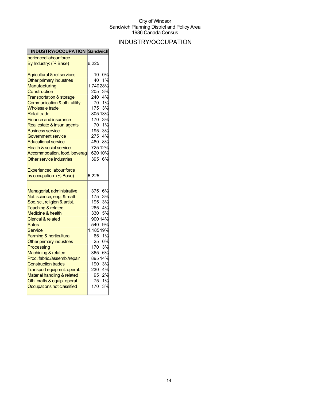## INDUSTRY/OCCUPATION

| INDUSTRY/OCCUPATION Sandwich                                                                                                                                                                                                                                                                                                                                                                                                                                                                                           |                                                                                                        |                                                                                                                  |
|------------------------------------------------------------------------------------------------------------------------------------------------------------------------------------------------------------------------------------------------------------------------------------------------------------------------------------------------------------------------------------------------------------------------------------------------------------------------------------------------------------------------|--------------------------------------------------------------------------------------------------------|------------------------------------------------------------------------------------------------------------------|
| perienced labour force                                                                                                                                                                                                                                                                                                                                                                                                                                                                                                 |                                                                                                        |                                                                                                                  |
| By Industry: (% Base)                                                                                                                                                                                                                                                                                                                                                                                                                                                                                                  | 6,225                                                                                                  |                                                                                                                  |
| <b>Agricultural &amp; rel.services</b><br>Other primary industries<br>Manufacturing<br>Construction<br><b>Transportation &amp; storage</b><br>Communication & oth. utility<br><b>Wholesale trade</b><br><b>Retail trade</b><br>Finance and insurance<br>Real estate & insur. agents<br><b>Business service</b><br>Government service<br><b>Educational service</b><br><b>Health &amp; social service</b><br>Accommodation, food, beverag<br>Other service industries                                                   | 10<br>40<br>1,74028%<br>205<br>240<br>70<br>175<br>170<br>70<br>195<br>480<br>395                      | 0%<br>1%<br>3%<br>4%<br>1%<br>3%<br>805 13%<br>3%<br>1%<br>3%<br>275 4%<br>8%<br>725 12%<br>620 10%<br>6%        |
| <b>Experienced labour force</b><br>by occupation: (% Base)                                                                                                                                                                                                                                                                                                                                                                                                                                                             | 6,225                                                                                                  |                                                                                                                  |
| Managerial, administrative<br>Nat. science, eng. & math.<br>Soc. sc., religion & artist.<br><b>Teaching &amp; related</b><br><b>Medicine &amp; health</b><br><b>Clerical &amp; related</b><br><b>Sales</b><br>Service<br><b>Farming &amp; horticultural</b><br>Other primary industries<br>Processing<br>Machining & related<br>Prod. fabric./assemb./repair<br><b>Construction trades</b><br>Transport equipmnt. operat.<br>Material handling & related<br>Oth. crafts & equip. operat.<br>Occupations not classified | 375<br>175<br>195<br>265<br>330<br>540<br>1,18519%<br>65<br>25<br>170<br>365<br>190<br>95<br>75<br>170 | 6%<br>3%<br>3%<br>4%<br>5%<br>900 14%<br>9%<br>1%<br>0%<br>3%<br>6%<br>895 14%<br>3%<br>230 4%<br>2%<br>1%<br>3% |